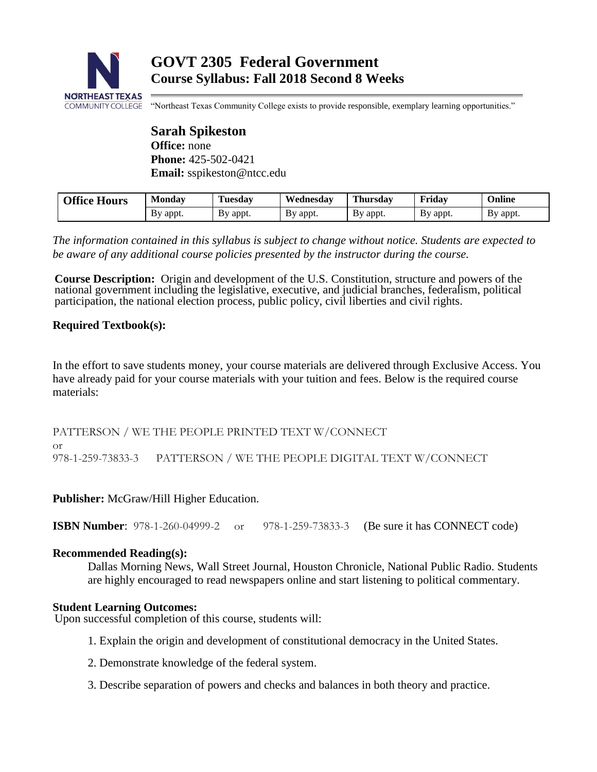

"Northeast Texas Community College exists to provide responsible, exemplary learning opportunities."

**Sarah Spikeston Office:** none **Phone:** 425-502-0421 **Email:** sspikeston@ntcc.edu

| <b>Office Hours</b> | Monday              | <b>FEN</b><br>Tuesdav | Wednesday | <b>Thursday</b> | Fridav   | Online   |
|---------------------|---------------------|-----------------------|-----------|-----------------|----------|----------|
|                     | appt.<br><b>B</b> y | By appt.              | By appt.  | By appt.        | By appt. | By appt. |

*The information contained in this syllabus is subject to change without notice. Students are expected to be aware of any additional course policies presented by the instructor during the course.*

**Course Description:** Origin and development of the U.S. Constitution, structure and powers of the national government including the legislative, executive, and judicial branches, federalism, political participation, the national election process, public policy, civil liberties and civil rights.

# **Required Textbook(s):**

In the effort to save students money, your course materials are delivered through Exclusive Access. You have already paid for your course materials with your tuition and fees. Below is the required course materials:

PATTERSON / WE THE PEOPLE PRINTED TEXT W/CONNECT or 978-1-259-73833-3 PATTERSON / WE THE PEOPLE DIGITAL TEXT W/CONNECT

**Publisher:** McGraw/Hill Higher Education.

**ISBN Number:** 978-1-260-04999-2 or 978-1-259-73833-3 (Be sure it has CONNECT code)

# **Recommended Reading(s):**

Dallas Morning News, Wall Street Journal, Houston Chronicle, National Public Radio. Students are highly encouraged to read newspapers online and start listening to political commentary.

# **Student Learning Outcomes:**

Upon successful completion of this course, students will:

- 1. Explain the origin and development of constitutional democracy in the United States.
- 2. Demonstrate knowledge of the federal system.
- 3. Describe separation of powers and checks and balances in both theory and practice.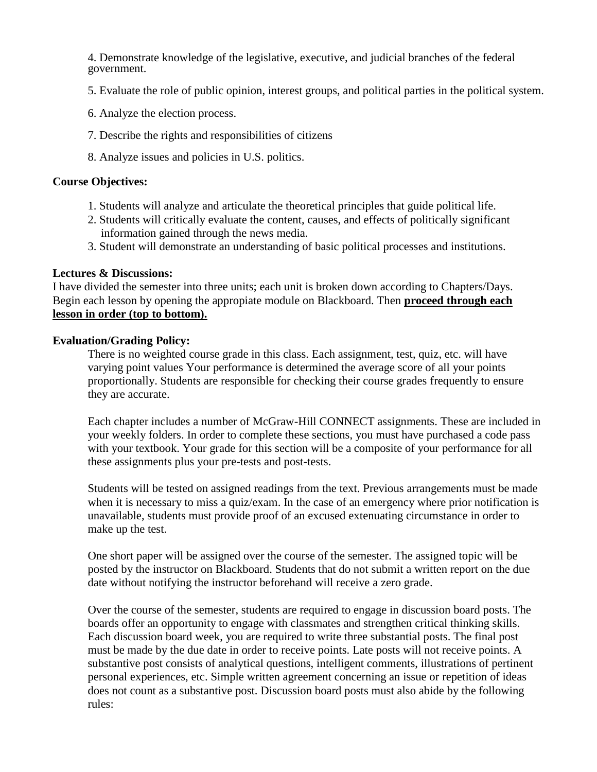4. Demonstrate knowledge of the legislative, executive, and judicial branches of the federal government.

- 5. Evaluate the role of public opinion, interest groups, and political parties in the political system.
- 6. Analyze the election process.
- 7. Describe the rights and responsibilities of citizens
- 8. Analyze issues and policies in U.S. politics.

### **Course Objectives:**

- 1. Students will analyze and articulate the theoretical principles that guide political life.
- 2. Students will critically evaluate the content, causes, and effects of politically significant information gained through the news media.
- 3. Student will demonstrate an understanding of basic political processes and institutions.

## **Lectures & Discussions:**

I have divided the semester into three units; each unit is broken down according to Chapters/Days. Begin each lesson by opening the appropiate module on Blackboard. Then **proceed through each lesson in order (top to bottom).**

## **Evaluation/Grading Policy:**

There is no weighted course grade in this class. Each assignment, test, quiz, etc. will have varying point values Your performance is determined the average score of all your points proportionally. Students are responsible for checking their course grades frequently to ensure they are accurate.

Each chapter includes a number of McGraw-Hill CONNECT assignments. These are included in your weekly folders. In order to complete these sections, you must have purchased a code pass with your textbook. Your grade for this section will be a composite of your performance for all these assignments plus your pre-tests and post-tests.

Students will be tested on assigned readings from the text. Previous arrangements must be made when it is necessary to miss a quiz/exam. In the case of an emergency where prior notification is unavailable, students must provide proof of an excused extenuating circumstance in order to make up the test.

One short paper will be assigned over the course of the semester. The assigned topic will be posted by the instructor on Blackboard. Students that do not submit a written report on the due date without notifying the instructor beforehand will receive a zero grade.

Over the course of the semester, students are required to engage in discussion board posts. The boards offer an opportunity to engage with classmates and strengthen critical thinking skills. Each discussion board week, you are required to write three substantial posts. The final post must be made by the due date in order to receive points. Late posts will not receive points. A substantive post consists of analytical questions, intelligent comments, illustrations of pertinent personal experiences, etc. Simple written agreement concerning an issue or repetition of ideas does not count as a substantive post. Discussion board posts must also abide by the following rules: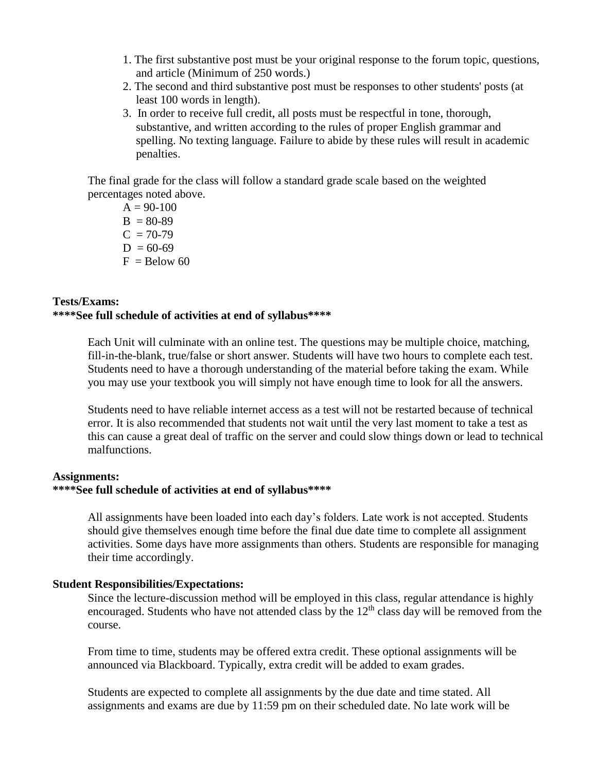- 1. The first substantive post must be your original response to the forum topic, questions, and article (Minimum of 250 words.)
- 2. The second and third substantive post must be responses to other students' posts (at least 100 words in length).
- 3. In order to receive full credit, all posts must be respectful in tone, thorough, substantive, and written according to the rules of proper English grammar and spelling. No texting language. Failure to abide by these rules will result in academic penalties.

The final grade for the class will follow a standard grade scale based on the weighted percentages noted above.

 $A = 90-100$  $B = 80-89$  $C = 70-79$  $D = 60-69$  $F =$ Below 60

# **Tests/Exams: \*\*\*\*See full schedule of activities at end of syllabus\*\*\*\***

Each Unit will culminate with an online test. The questions may be multiple choice, matching, fill-in-the-blank, true/false or short answer. Students will have two hours to complete each test. Students need to have a thorough understanding of the material before taking the exam. While you may use your textbook you will simply not have enough time to look for all the answers.

Students need to have reliable internet access as a test will not be restarted because of technical error. It is also recommended that students not wait until the very last moment to take a test as this can cause a great deal of traffic on the server and could slow things down or lead to technical malfunctions.

#### **Assignments: \*\*\*\*See full schedule of activities at end of syllabus\*\*\*\***

All assignments have been loaded into each day's folders. Late work is not accepted. Students should give themselves enough time before the final due date time to complete all assignment activities. Some days have more assignments than others. Students are responsible for managing their time accordingly.

### **Student Responsibilities/Expectations:**

Since the lecture-discussion method will be employed in this class, regular attendance is highly encouraged. Students who have not attended class by the  $12<sup>th</sup>$  class day will be removed from the course.

From time to time, students may be offered extra credit. These optional assignments will be announced via Blackboard. Typically, extra credit will be added to exam grades.

Students are expected to complete all assignments by the due date and time stated. All assignments and exams are due by 11:59 pm on their scheduled date. No late work will be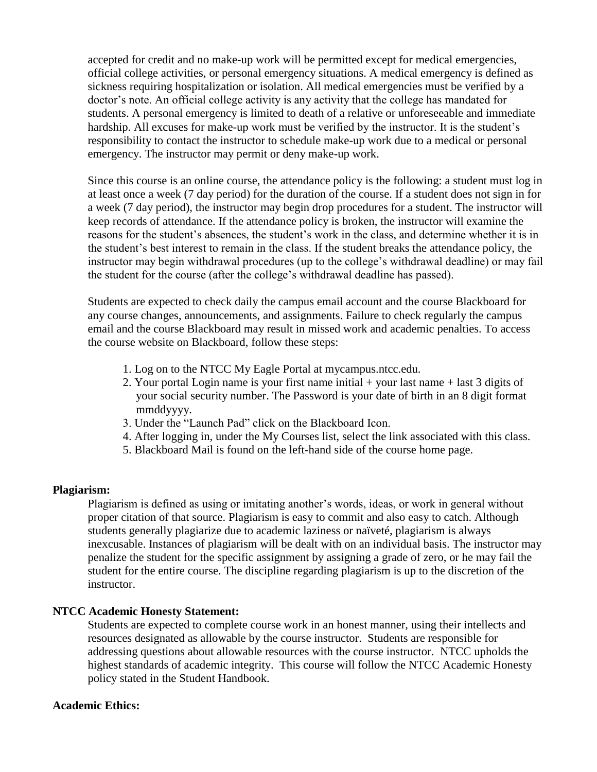accepted for credit and no make-up work will be permitted except for medical emergencies, official college activities, or personal emergency situations. A medical emergency is defined as sickness requiring hospitalization or isolation. All medical emergencies must be verified by a doctor's note. An official college activity is any activity that the college has mandated for students. A personal emergency is limited to death of a relative or unforeseeable and immediate hardship. All excuses for make-up work must be verified by the instructor. It is the student's responsibility to contact the instructor to schedule make-up work due to a medical or personal emergency. The instructor may permit or deny make-up work.

Since this course is an online course, the attendance policy is the following: a student must log in at least once a week (7 day period) for the duration of the course. If a student does not sign in for a week (7 day period), the instructor may begin drop procedures for a student. The instructor will keep records of attendance. If the attendance policy is broken, the instructor will examine the reasons for the student's absences, the student's work in the class, and determine whether it is in the student's best interest to remain in the class. If the student breaks the attendance policy, the instructor may begin withdrawal procedures (up to the college's withdrawal deadline) or may fail the student for the course (after the college's withdrawal deadline has passed).

Students are expected to check daily the campus email account and the course Blackboard for any course changes, announcements, and assignments. Failure to check regularly the campus email and the course Blackboard may result in missed work and academic penalties. To access the course website on Blackboard, follow these steps:

- 1. Log on to the NTCC My Eagle Portal at mycampus.ntcc.edu.
- 2. Your portal Login name is your first name initial + your last name + last 3 digits of your social security number. The Password is your date of birth in an 8 digit format mmddyyyy.
- 3. Under the "Launch Pad" click on the Blackboard Icon.
- 4. After logging in, under the My Courses list, select the link associated with this class.
- 5. Blackboard Mail is found on the left-hand side of the course home page.

### **Plagiarism:**

Plagiarism is defined as using or imitating another's words, ideas, or work in general without proper citation of that source. Plagiarism is easy to commit and also easy to catch. Although students generally plagiarize due to academic laziness or naïveté, plagiarism is always inexcusable. Instances of plagiarism will be dealt with on an individual basis. The instructor may penalize the student for the specific assignment by assigning a grade of zero, or he may fail the student for the entire course. The discipline regarding plagiarism is up to the discretion of the instructor.

### **NTCC Academic Honesty Statement:**

Students are expected to complete course work in an honest manner, using their intellects and resources designated as allowable by the course instructor. Students are responsible for addressing questions about allowable resources with the course instructor. NTCC upholds the highest standards of academic integrity. This course will follow the NTCC Academic Honesty policy stated in the Student Handbook.

#### **Academic Ethics:**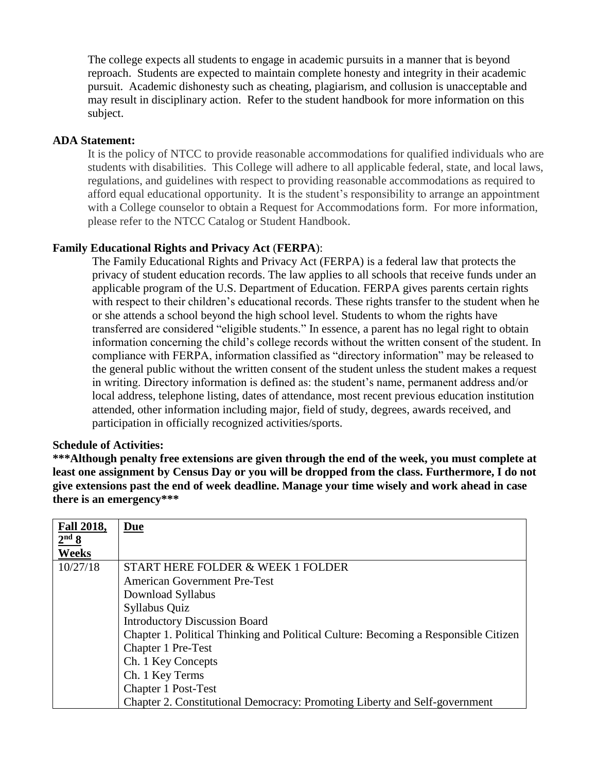The college expects all students to engage in academic pursuits in a manner that is beyond reproach. Students are expected to maintain complete honesty and integrity in their academic pursuit. Academic dishonesty such as cheating, plagiarism, and collusion is unacceptable and may result in disciplinary action. Refer to the student handbook for more information on this subject.

### **ADA Statement:**

It is the policy of NTCC to provide reasonable accommodations for qualified individuals who are students with disabilities. This College will adhere to all applicable federal, state, and local laws, regulations, and guidelines with respect to providing reasonable accommodations as required to afford equal educational opportunity. It is the student's responsibility to arrange an appointment with a College counselor to obtain a Request for Accommodations form. For more information, please refer to the NTCC Catalog or Student Handbook.

## **Family Educational Rights and Privacy Act** (**FERPA**):

The Family Educational Rights and Privacy Act (FERPA) is a federal law that protects the privacy of student education records. The law applies to all schools that receive funds under an applicable program of the U.S. Department of Education. FERPA gives parents certain rights with respect to their children's educational records. These rights transfer to the student when he or she attends a school beyond the high school level. Students to whom the rights have transferred are considered "eligible students." In essence, a parent has no legal right to obtain information concerning the child's college records without the written consent of the student. In compliance with FERPA, information classified as "directory information" may be released to the general public without the written consent of the student unless the student makes a request in writing. Directory information is defined as: the student's name, permanent address and/or local address, telephone listing, dates of attendance, most recent previous education institution attended, other information including major, field of study, degrees, awards received, and participation in officially recognized activities/sports.

### **Schedule of Activities:**

**\*\*\*Although penalty free extensions are given through the end of the week, you must complete at least one assignment by Census Day or you will be dropped from the class. Furthermore, I do not give extensions past the end of week deadline. Manage your time wisely and work ahead in case there is an emergency\*\*\***

| <b>Fall 2018,</b> | <b>Due</b>                                                                          |
|-------------------|-------------------------------------------------------------------------------------|
| 2 <sup>nd</sup> 8 |                                                                                     |
| Weeks             |                                                                                     |
| 10/27/18          | START HERE FOLDER & WEEK 1 FOLDER                                                   |
|                   | <b>American Government Pre-Test</b>                                                 |
|                   | Download Syllabus                                                                   |
|                   | Syllabus Quiz                                                                       |
|                   | <b>Introductory Discussion Board</b>                                                |
|                   | Chapter 1. Political Thinking and Political Culture: Becoming a Responsible Citizen |
|                   | Chapter 1 Pre-Test                                                                  |
|                   | Ch. 1 Key Concepts                                                                  |
|                   | Ch. 1 Key Terms                                                                     |
|                   | Chapter 1 Post-Test                                                                 |
|                   | Chapter 2. Constitutional Democracy: Promoting Liberty and Self-government          |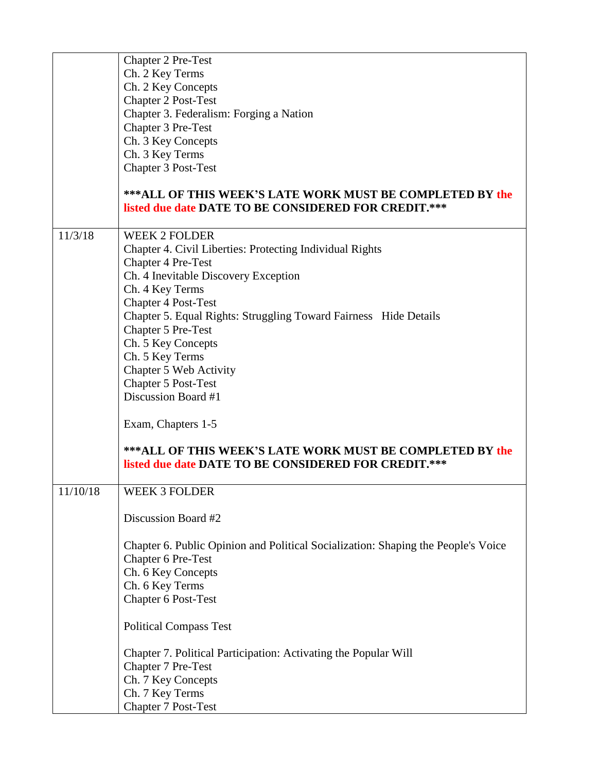|          | Chapter 2 Pre-Test<br>Ch. 2 Key Terms<br>Ch. 2 Key Concepts<br><b>Chapter 2 Post-Test</b><br>Chapter 3. Federalism: Forging a Nation<br>Chapter 3 Pre-Test |
|----------|------------------------------------------------------------------------------------------------------------------------------------------------------------|
|          | Ch. 3 Key Concepts<br>Ch. 3 Key Terms<br>Chapter 3 Post-Test                                                                                               |
|          | <b>***ALL OF THIS WEEK'S LATE WORK MUST BE COMPLETED BY the</b><br>listed due date DATE TO BE CONSIDERED FOR CREDIT.***                                    |
| 11/3/18  | <b>WEEK 2 FOLDER</b><br>Chapter 4. Civil Liberties: Protecting Individual Rights<br>Chapter 4 Pre-Test                                                     |
|          | Ch. 4 Inevitable Discovery Exception                                                                                                                       |
|          | Ch. 4 Key Terms<br><b>Chapter 4 Post-Test</b>                                                                                                              |
|          | Chapter 5. Equal Rights: Struggling Toward Fairness Hide Details<br>Chapter 5 Pre-Test                                                                     |
|          | Ch. 5 Key Concepts                                                                                                                                         |
|          | Ch. 5 Key Terms<br>Chapter 5 Web Activity                                                                                                                  |
|          | Chapter 5 Post-Test                                                                                                                                        |
|          | Discussion Board #1                                                                                                                                        |
|          | Exam, Chapters 1-5                                                                                                                                         |
|          | ***ALL OF THIS WEEK'S LATE WORK MUST BE COMPLETED BY the<br>listed due date DATE TO BE CONSIDERED FOR CREDIT.***                                           |
| 11/10/18 | WEEK 3 FOLDER                                                                                                                                              |
|          | Discussion Board #2                                                                                                                                        |
|          | Chapter 6. Public Opinion and Political Socialization: Shaping the People's Voice                                                                          |
|          | Chapter 6 Pre-Test                                                                                                                                         |
|          | Ch. 6 Key Concepts<br>Ch. 6 Key Terms                                                                                                                      |
|          | Chapter 6 Post-Test                                                                                                                                        |
|          | <b>Political Compass Test</b>                                                                                                                              |
|          | Chapter 7. Political Participation: Activating the Popular Will                                                                                            |
|          | Chapter 7 Pre-Test                                                                                                                                         |
|          | Ch. 7 Key Concepts<br>Ch. 7 Key Terms                                                                                                                      |
|          | <b>Chapter 7 Post-Test</b>                                                                                                                                 |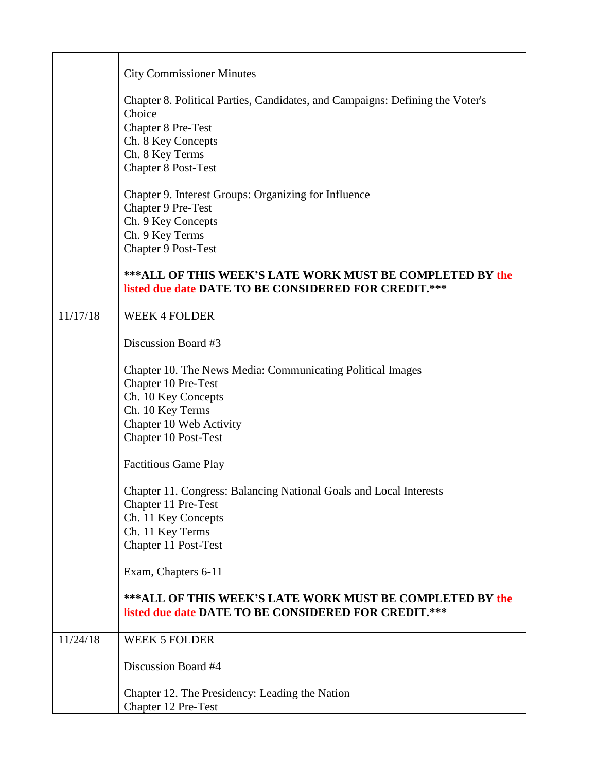|          | <b>City Commissioner Minutes</b>                                                                                                                                                            |
|----------|---------------------------------------------------------------------------------------------------------------------------------------------------------------------------------------------|
|          | Chapter 8. Political Parties, Candidates, and Campaigns: Defining the Voter's<br>Choice<br><b>Chapter 8 Pre-Test</b><br>Ch. 8 Key Concepts<br>Ch. 8 Key Terms<br><b>Chapter 8 Post-Test</b> |
|          | Chapter 9. Interest Groups: Organizing for Influence<br>Chapter 9 Pre-Test<br>Ch. 9 Key Concepts<br>Ch. 9 Key Terms<br>Chapter 9 Post-Test                                                  |
|          | *** ALL OF THIS WEEK'S LATE WORK MUST BE COMPLETED BY the<br>listed due date DATE TO BE CONSIDERED FOR CREDIT.***                                                                           |
| 11/17/18 | <b>WEEK 4 FOLDER</b>                                                                                                                                                                        |
|          | Discussion Board #3                                                                                                                                                                         |
|          | Chapter 10. The News Media: Communicating Political Images<br>Chapter 10 Pre-Test<br>Ch. 10 Key Concepts<br>Ch. 10 Key Terms<br>Chapter 10 Web Activity<br><b>Chapter 10 Post-Test</b>      |
|          | <b>Factitious Game Play</b>                                                                                                                                                                 |
|          | Chapter 11. Congress: Balancing National Goals and Local Interests<br>Chapter 11 Pre-Test<br>Ch. 11 Key Concepts<br>Ch. 11 Key Terms<br>Chapter 11 Post-Test                                |
|          | Exam, Chapters 6-11                                                                                                                                                                         |
|          | *** ALL OF THIS WEEK'S LATE WORK MUST BE COMPLETED BY the<br>listed due date DATE TO BE CONSIDERED FOR CREDIT.***                                                                           |
| 11/24/18 | <b>WEEK 5 FOLDER</b>                                                                                                                                                                        |
|          | Discussion Board #4                                                                                                                                                                         |
|          | Chapter 12. The Presidency: Leading the Nation<br>Chapter 12 Pre-Test                                                                                                                       |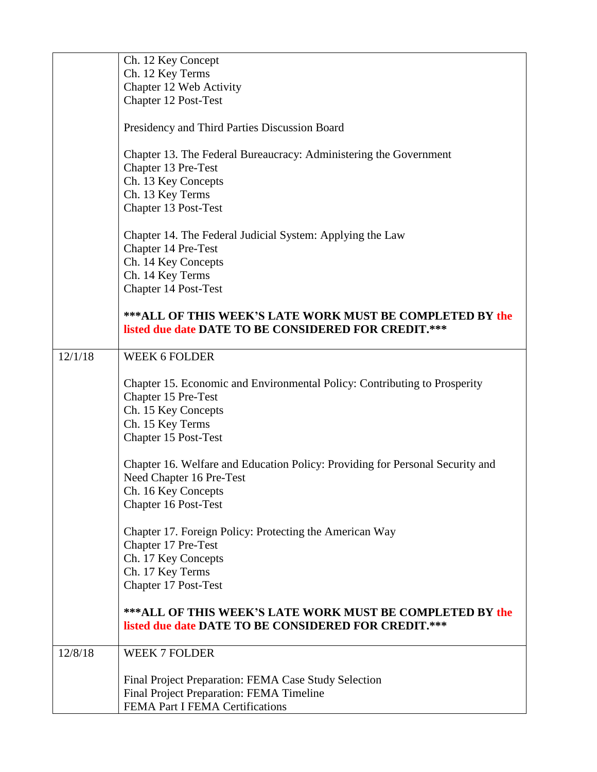|         | Ch. 12 Key Concept                                                                                                                                  |
|---------|-----------------------------------------------------------------------------------------------------------------------------------------------------|
|         | Ch. 12 Key Terms                                                                                                                                    |
|         | Chapter 12 Web Activity                                                                                                                             |
|         | Chapter 12 Post-Test                                                                                                                                |
|         | Presidency and Third Parties Discussion Board                                                                                                       |
|         | Chapter 13. The Federal Bureaucracy: Administering the Government<br>Chapter 13 Pre-Test<br>Ch. 13 Key Concepts                                     |
|         | Ch. 13 Key Terms                                                                                                                                    |
|         | Chapter 13 Post-Test                                                                                                                                |
|         | Chapter 14. The Federal Judicial System: Applying the Law<br>Chapter 14 Pre-Test<br>Ch. 14 Key Concepts<br>Ch. 14 Key Terms<br>Chapter 14 Post-Test |
|         | ***ALL OF THIS WEEK'S LATE WORK MUST BE COMPLETED BY the<br>listed due date DATE TO BE CONSIDERED FOR CREDIT.***                                    |
| 12/1/18 | <b>WEEK 6 FOLDER</b>                                                                                                                                |
|         |                                                                                                                                                     |
|         | Chapter 15. Economic and Environmental Policy: Contributing to Prosperity                                                                           |
|         | Chapter 15 Pre-Test                                                                                                                                 |
|         | Ch. 15 Key Concepts                                                                                                                                 |
|         | Ch. 15 Key Terms                                                                                                                                    |
|         | Chapter 15 Post-Test                                                                                                                                |
|         |                                                                                                                                                     |
|         | Chapter 16. Welfare and Education Policy: Providing for Personal Security and                                                                       |
|         | Need Chapter 16 Pre-Test                                                                                                                            |
|         | Ch. 16 Key Concepts                                                                                                                                 |
|         | Chapter 16 Post-Test                                                                                                                                |
|         | Chapter 17. Foreign Policy: Protecting the American Way                                                                                             |
|         | Chapter 17 Pre-Test                                                                                                                                 |
|         | Ch. 17 Key Concepts                                                                                                                                 |
|         | Ch. 17 Key Terms<br>Chapter 17 Post-Test                                                                                                            |
|         |                                                                                                                                                     |
|         | <b>***ALL OF THIS WEEK'S LATE WORK MUST BE COMPLETED BY the</b>                                                                                     |
|         | listed due date DATE TO BE CONSIDERED FOR CREDIT.***                                                                                                |
| 12/8/18 | <b>WEEK 7 FOLDER</b>                                                                                                                                |
|         |                                                                                                                                                     |
|         | Final Project Preparation: FEMA Case Study Selection                                                                                                |
|         | Final Project Preparation: FEMA Timeline                                                                                                            |
|         | FEMA Part I FEMA Certifications                                                                                                                     |